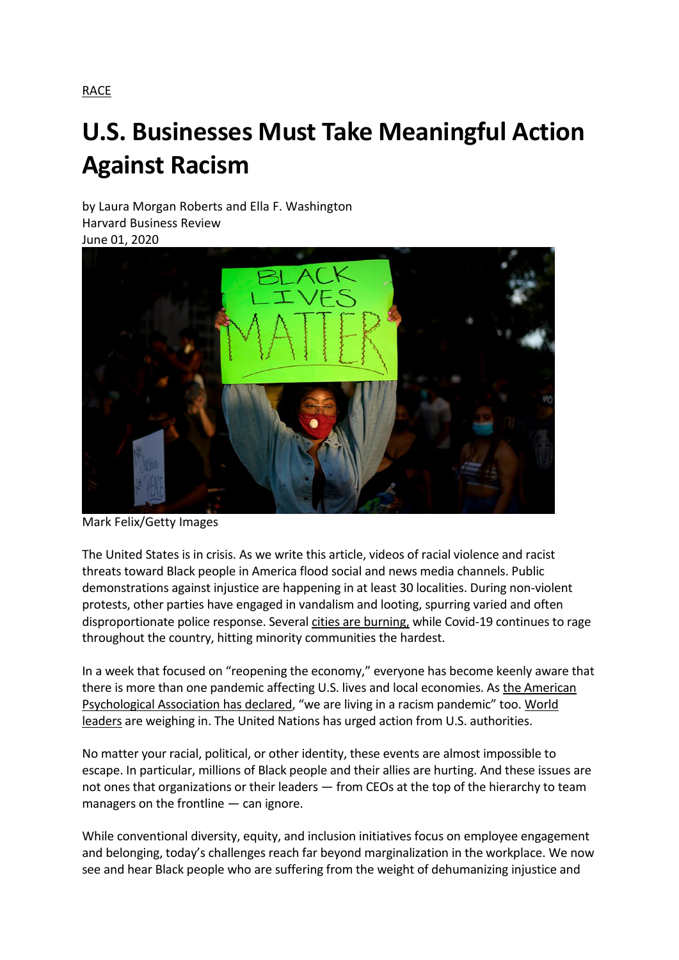## **U.S. Businesses Must Take Meaningful Action Against Racism**

by [Laura Morgan Roberts](https://hbr.org/search?term=laura%20morgan%20roberts) and [Ella F. Washington](https://hbr.org/search?term=ella%20f.%20washington) Harvard Business Review June 01, 2020



Mark Felix/Getty Images

The United States is in crisis. As we write this article, videos of racial violence and racist threats toward Black people in America flood social and news media channels. Public demonstrations against injustice are happening in at least 30 localities. During non-violent protests, other parties have engaged in vandalism and looting, spurring varied and often disproportionate police response. Several [cities are burning,](https://www.msnbc.com/11th-hour/watch/fires-rage-at-target-store-in-minneapolis-amid-chaotic-protests-84063813970) while Covid-19 continues to rage throughout the country, hitting minority communities the hardest.

In a week that focused on "reopening the economy," everyone has become keenly aware that there is more than one pandemic affecting U.S. lives and local economies. As [the American](https://www.apa.org/news/press/releases/2020/05/racism-pandemic)  [Psychological Association has declared](https://www.apa.org/news/press/releases/2020/05/racism-pandemic), "we are living in a racism pandemic" too. [World](https://ohchr.org/EN/NewsEvents/Pages/DisplayNews.aspx?NewsID=25910&LangID=E)  [leaders](https://ohchr.org/EN/NewsEvents/Pages/DisplayNews.aspx?NewsID=25910&LangID=E) are weighing in. The United Nations has urged action from U.S. authorities.

No matter your racial, political, or other identity, these events are almost impossible to escape. In particular, millions of Black people and their allies are hurting. And these issues are not ones that organizations or their leaders — from CEOs at the top of the hierarchy to team managers on the frontline — can ignore.

While conventional diversity, equity, and inclusion initiatives focus on employee engagement and belonging, today's challenges reach far beyond marginalization in the workplace. We now see and hear Black people who are suffering from the weight of dehumanizing injustice and

[RACE](https://hbr.org/topic/race)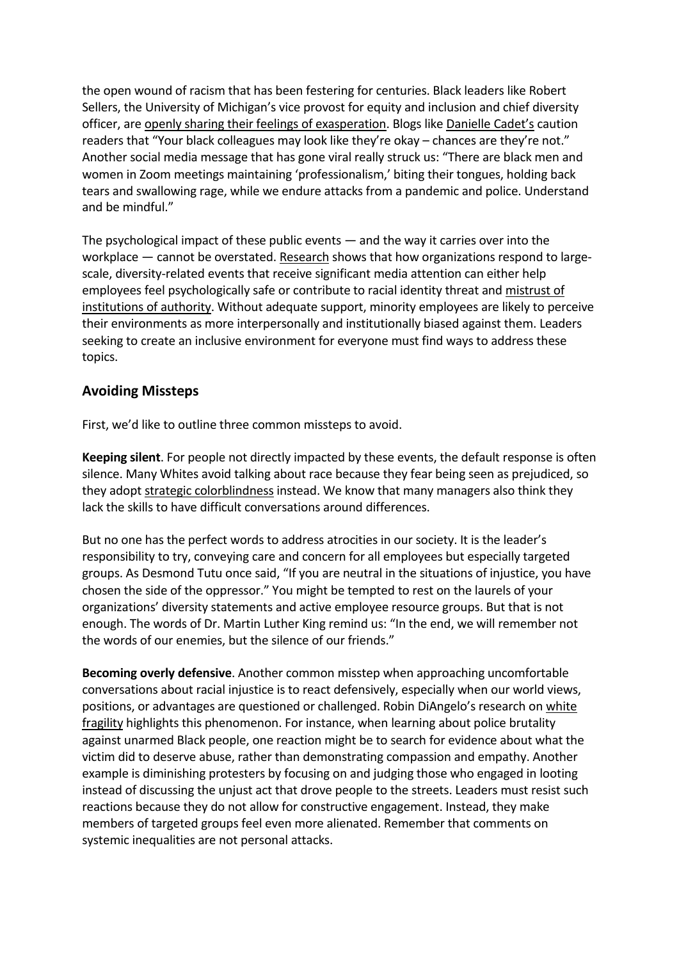the open wound of racism that has been festering for centuries. Black leaders like Robert Sellers, the University of Michigan's vice provost for equity and inclusion and chief diversity officer, are [openly sharing their feelings of exasperation.](https://odei.umich.edu/2020/05/29/i-am-so-tired/) Blogs like [Danielle Cadet's](https://www.refinery29.com/en-us/2020/05/9841376/black-trauma-george-floyd-dear-white-people?utm_source=facebook&utm_medium=facebook_share) caution readers that "Your black colleagues may look like they're okay – chances are they're not." Another social media message that has gone viral really struck us: "There are black men and women in Zoom meetings maintaining 'professionalism,' biting their tongues, holding back tears and swallowing rage, while we endure attacks from a pandemic and police. Understand and be mindful."

The psychological impact of these public events — and the way it carries over into the workplace — cannot be overstated. [Research](https://journals.aom.org/doi/full/10.5465/amr.2017.0127) shows that how organizations respond to largescale, diversity-related events that receive significant media attention can either help employees feel psychologically safe or contribute to racial identity threat and [mistrust of](https://pubmed.ncbi.nlm.nih.gov/27042881/)  [institutions of authority.](https://pubmed.ncbi.nlm.nih.gov/27042881/) Without adequate support, minority employees are likely to perceive their environments as more interpersonally and institutionally biased against them. Leaders seeking to create an inclusive environment for everyone must find ways to address these topics.

## **Avoiding Missteps**

First, we'd like to outline three common missteps to avoid.

**Keeping silent**. For people not directly impacted by these events, the default response is often silence. Many Whites avoid talking about race because they fear being seen as prejudiced, so they adopt [strategic colorblindness](https://www.apa.org/pubs/journals/releases/psp954918.pdf) instead. We know that many managers also think they lack the skills to have difficult conversations around differences.

But no one has the perfect words to address atrocities in our society. It is the leader's responsibility to try, conveying care and concern for all employees but especially targeted groups. As Desmond Tutu once said, "If you are neutral in the situations of injustice, you have chosen the side of the oppressor." You might be tempted to rest on the laurels of your organizations' diversity statements and active employee resource groups. But that is not enough. The words of Dr. Martin Luther King remind us: "In the end, we will remember not the words of our enemies, but the silence of our friends."

**Becoming overly defensive**. Another common misstep when approaching uncomfortable conversations about racial injustice is to react defensively, especially when our world views, positions, or advantages are questioned or challenged. Robin DiAngelo's research on [white](https://libjournal.uncg.edu/ijcp/article/viewFile/249/116)  [fragility](https://libjournal.uncg.edu/ijcp/article/viewFile/249/116) highlights this phenomenon. For instance, when learning about police brutality against unarmed Black people, one reaction might be to search for evidence about what the victim did to deserve abuse, rather than demonstrating compassion and empathy. Another example is diminishing protesters by focusing on and judging those who engaged in looting instead of discussing the unjust act that drove people to the streets. Leaders must resist such reactions because they do not allow for constructive engagement. Instead, they make members of targeted groups feel even more alienated. Remember that comments on systemic inequalities are not personal attacks.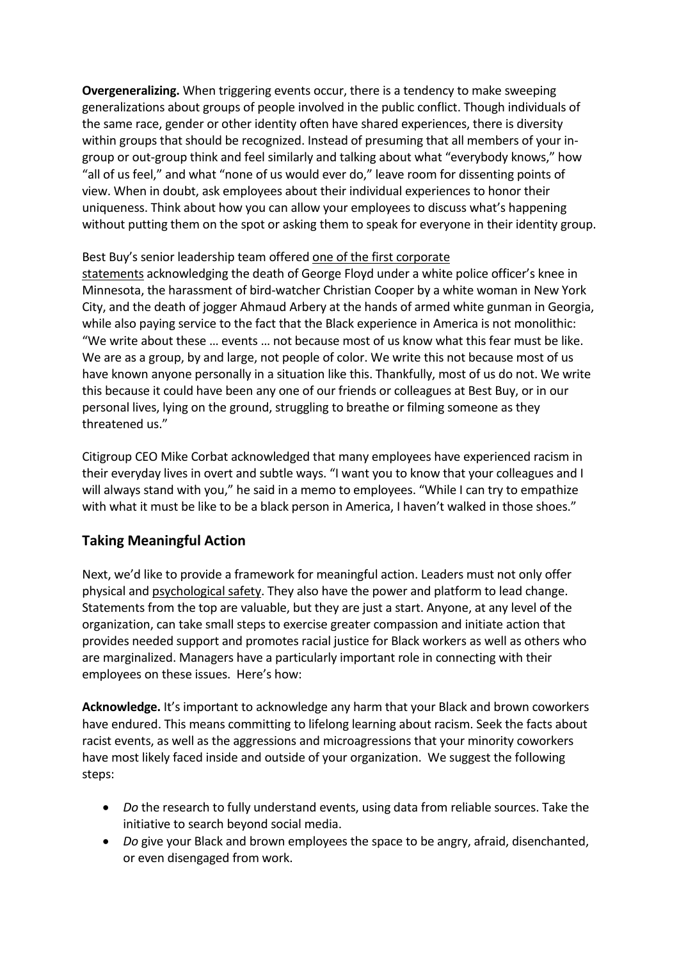**Overgeneralizing.** When triggering events occur, there is a tendency to make sweeping generalizations about groups of people involved in the public conflict. Though individuals of the same race, gender or other identity often have shared experiences, there is diversity within groups that should be recognized. Instead of presuming that all members of your ingroup or out-group think and feel similarly and talking about what "everybody knows," how "all of us feel," and what "none of us would ever do," leave room for dissenting points of view. When in doubt, ask employees about their individual experiences to honor their uniqueness. Think about how you can allow your employees to discuss what's happening without putting them on the spot or asking them to speak for everyone in their identity group.

## Best Buy's senior leadership team offered [one of the first corporate](https://corporate.bestbuy.com/a-message-from-the-senior-leadership-team/?fbclid=IwAR19XewWemIFoXZt44wTidB5B-H3DcHQmGnLKkU9rwEUd068S_GmFa7qbag)

[statements](https://corporate.bestbuy.com/a-message-from-the-senior-leadership-team/?fbclid=IwAR19XewWemIFoXZt44wTidB5B-H3DcHQmGnLKkU9rwEUd068S_GmFa7qbag) acknowledging the death of George Floyd under a white police officer's knee in Minnesota, the harassment of bird-watcher Christian Cooper by a white woman in New York City, and the death of jogger Ahmaud Arbery at the hands of armed white gunman in Georgia, while also paying service to the fact that the Black experience in America is not monolithic: "We write about these … events … not because most of us know what this fear must be like. We are as a group, by and large, not people of color. We write this not because most of us have known anyone personally in a situation like this. Thankfully, most of us do not. We write this because it could have been any one of our friends or colleagues at Best Buy, or in our personal lives, lying on the ground, struggling to breathe or filming someone as they threatened us."

Citigroup CEO Mike Corbat acknowledged that many employees have experienced racism in their everyday lives in overt and subtle ways. "I want you to know that your colleagues and I will always stand with you," he said in a memo to employees. "While I can try to empathize with what it must be like to be a black person in America, I haven't walked in those shoes."

## **Taking Meaningful Action**

Next, we'd like to provide a framework for meaningful action. Leaders must not only offer physical and [psychological safety.](https://hbr.org/podcast/2019/01/creating-psychological-safety-in-the-workplace) They also have the power and platform to lead change. Statements from the top are valuable, but they are just a start. Anyone, at any level of the organization, can take small steps to exercise greater compassion and initiate action that provides needed support and promotes racial justice for Black workers as well as others who are marginalized. Managers have a particularly important role in connecting with their employees on these issues. Here's how:

**Acknowledge.** It's important to acknowledge any harm that your Black and brown coworkers have endured. This means committing to lifelong learning about racism. Seek the facts about racist events, as well as the aggressions and microagressions that your minority coworkers have most likely faced inside and outside of your organization. We suggest the following steps:

- *Do* the research to fully understand events, using data from reliable sources. Take the initiative to search beyond social media.
- *Do* give your Black and brown employees the space to be angry, afraid, disenchanted, or even disengaged from work.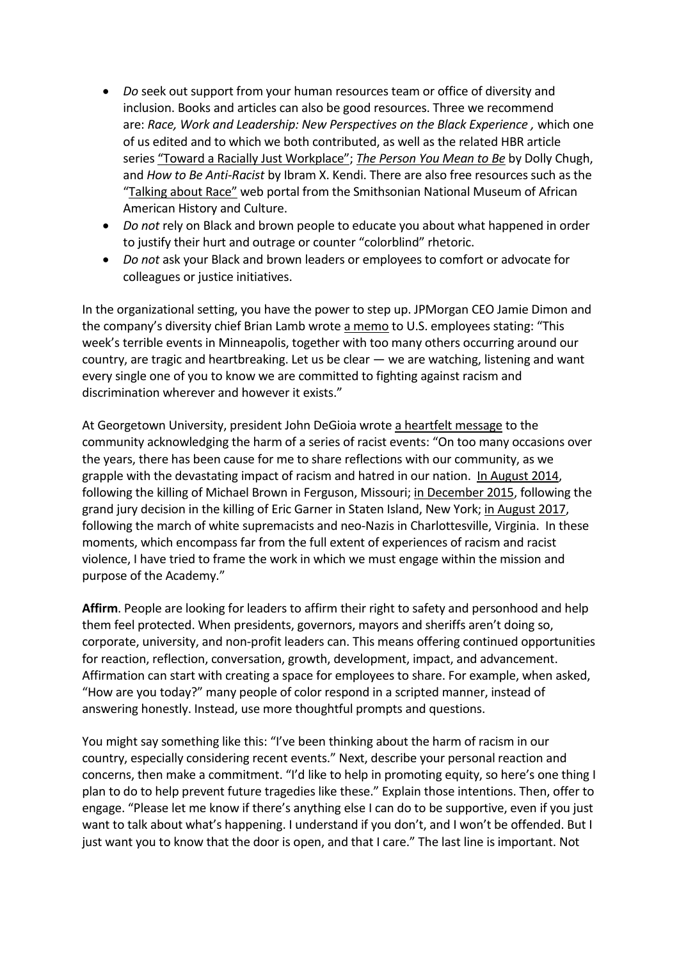- *Do* seek out support from your human resources team or office of diversity and inclusion. Books and articles can also be good resources. Three we recommend are: *[Race, Work and Leadership: New Perspectives on the Black Experience ,](https://store.hbr.org/product/race-work-and-leadership-new-perspectives-on-the-black-experience/10290)* which one of us edited and to which we both contributed, as well as the related HBR article series ["Toward a Racially Just Workplace"](https://hbr.org/cover-story/2019/11/toward-a-racially-just-workplace); *[The Person You Mean to Be](https://www.amazon.com/Person-You-Mean-Be-People/dp/0062692143/ref=tmm_hrd_swatch_0?_encoding=UTF8&qid=&sr=)* by Dolly Chugh, and *[How to Be Anti-Racist](https://www.amazon.com/How-Be-Antiracist-Ibram-Kendi/dp/0525509283/)* by Ibram X. Kendi. There are also free resources such as the ["Talking about Race"](https://nmaahc.si.edu/learn/talking-about-race) web portal from the Smithsonian National Museum of African American History and Culture.
- *Do not* rely on Black and brown people to educate you about what happened in order to justify their hurt and outrage or counter "colorblind" rhetoric.
- *Do not* ask your Black and brown leaders or employees to comfort or advocate for colleagues or justice initiatives.

In the organizational setting, you have the power to step up. JPMorgan CEO Jamie Dimon and the company's diversity chief Brian Lamb wrote [a memo](https://newsbrig.com/jpmorgan-ceo-calls-minneapolis-events-tragic-heartbreaking-in-staff-memo/28405/) to U.S. employees stating: "This week's terrible events in Minneapolis, together with too many others occurring around our country, are tragic and heartbreaking. Let us be clear — we are watching, listening and want every single one of you to know we are committed to fighting against racism and discrimination wherever and however it exists."

At Georgetown University, president John DeGioia wrote [a heartfelt message](https://president.georgetown.edu/confronting-racism-may-2020/) to the community acknowledging the harm of a series of racist events: "On too many occasions over the years, there has been cause for me to share reflections with our community, as we grapple with the devastating impact of racism and hatred in our nation. [In August 2014,](http://links.georgetown.mkt6170.com/ctt?ms=NDI2MjM3NTUS1&kn=2&r=ODgyNDQ2MzgxOTMzS0&b=0&j=MTc2MzAyNjE1MAS2&mt=1&rt=0) following the killing of Michael Brown in Ferguson, Missouri; [in December 2015,](http://links.georgetown.mkt6170.com/ctt?ms=NDI2MjM3NTUS1&kn=1&r=ODgyNDQ2MzgxOTMzS0&b=0&j=MTc2MzAyNjE1MAS2&mt=1&rt=0) following the grand jury decision in the killing of Eric Garner in Staten Island, New York; [in August 2017,](http://links.georgetown.mkt6170.com/ctt?ms=NDI2MjM3NTUS1&kn=5&r=ODgyNDQ2MzgxOTMzS0&b=0&j=MTc2MzAyNjE1MAS2&mt=1&rt=0) following the march of white supremacists and neo-Nazis in Charlottesville, Virginia. In these moments, which encompass far from the full extent of experiences of racism and racist violence, I have tried to frame the work in which we must engage within the mission and purpose of the Academy."

**Affirm**. People are looking for leaders to affirm their right to safety and personhood and help them feel protected. When presidents, governors, mayors and sheriffs aren't doing so, corporate, university, and non-profit leaders can. This means offering continued opportunities for reaction, reflection, conversation, growth, development, impact, and advancement. Affirmation can start with creating a space for employees to share. For example, when asked, "How are you today?" many people of color respond in a scripted manner, instead of answering honestly. Instead, use more thoughtful prompts and questions.

You might say something like this: "I've been thinking about the harm of racism in our country, especially considering recent events." Next, describe your personal reaction and concerns, then make a commitment. "I'd like to help in promoting equity, so here's one thing I plan to do to help prevent future tragedies like these." Explain those intentions. Then, offer to engage. "Please let me know if there's anything else I can do to be supportive, even if you just want to talk about what's happening. I understand if you don't, and I won't be offended. But I just want you to know that the door is open, and that I care." The last line is important. Not